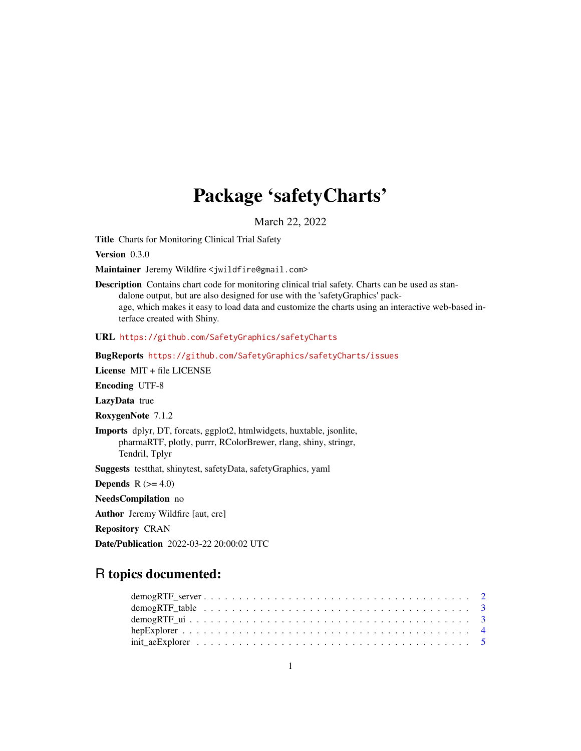## Package 'safetyCharts'

March 22, 2022

Title Charts for Monitoring Clinical Trial Safety

Version 0.3.0

Maintainer Jeremy Wildfire <jwildfire@gmail.com>

Description Contains chart code for monitoring clinical trial safety. Charts can be used as standalone output, but are also designed for use with the 'safetyGraphics' package, which makes it easy to load data and customize the charts using an interactive web-based interface created with Shiny.

URL <https://github.com/SafetyGraphics/safetyCharts>

BugReports <https://github.com/SafetyGraphics/safetyCharts/issues>

License MIT + file LICENSE

Encoding UTF-8

LazyData true

RoxygenNote 7.1.2

Imports dplyr, DT, forcats, ggplot2, htmlwidgets, huxtable, jsonlite, pharmaRTF, plotly, purrr, RColorBrewer, rlang, shiny, stringr, Tendril, Tplyr

Suggests testthat, shinytest, safetyData, safetyGraphics, yaml

**Depends**  $R$  ( $>= 4.0$ )

NeedsCompilation no

Author Jeremy Wildfire [aut, cre]

Repository CRAN

Date/Publication 2022-03-22 20:00:02 UTC

## R topics documented: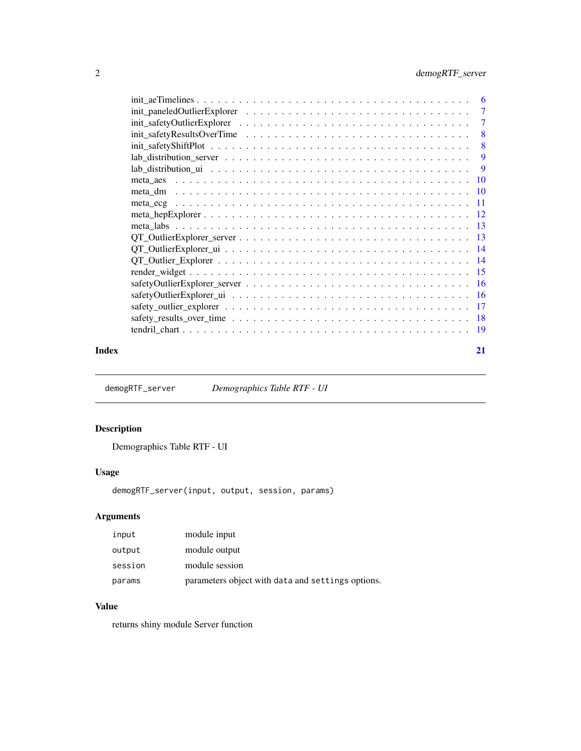<span id="page-1-0"></span>

| 6                                                                                                                             |
|-------------------------------------------------------------------------------------------------------------------------------|
| 7                                                                                                                             |
| 7                                                                                                                             |
| 8                                                                                                                             |
| 8                                                                                                                             |
| 9                                                                                                                             |
| 9                                                                                                                             |
| -10                                                                                                                           |
| meta_dm                                                                                                                       |
| -11                                                                                                                           |
|                                                                                                                               |
| - 13                                                                                                                          |
|                                                                                                                               |
|                                                                                                                               |
|                                                                                                                               |
|                                                                                                                               |
| - 16                                                                                                                          |
|                                                                                                                               |
|                                                                                                                               |
| - 18<br>safety_results_over_time $\ldots \ldots \ldots \ldots \ldots \ldots \ldots \ldots \ldots \ldots \ldots \ldots \ldots$ |
| -19                                                                                                                           |
|                                                                                                                               |

#### **Index** [21](#page-20-0)

demogRTF\_server *Demographics Table RTF - UI*

## Description

Demographics Table RTF - UI

## Usage

demogRTF\_server(input, output, session, params)

## Arguments

| input   | module input                                      |
|---------|---------------------------------------------------|
| output  | module output                                     |
| session | module session                                    |
| params  | parameters object with data and settings options. |

## Value

returns shiny module Server function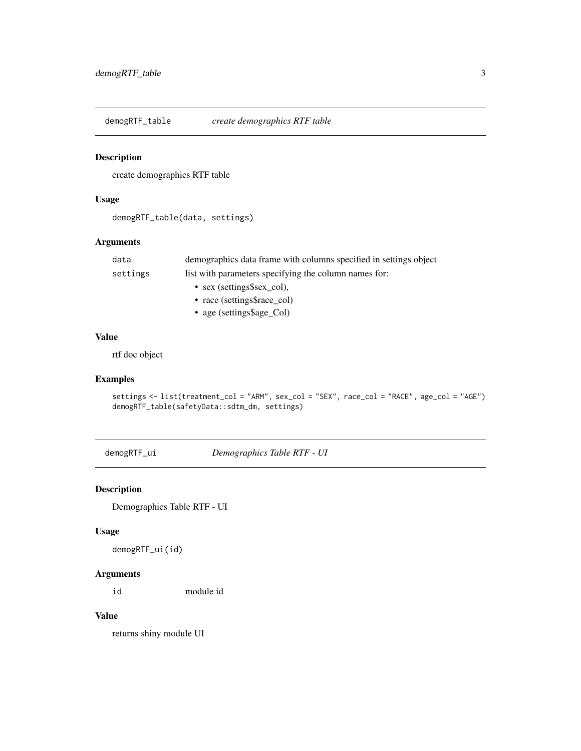<span id="page-2-0"></span>demogRTF\_table *create demographics RTF table*

## Description

create demographics RTF table

#### Usage

```
demogRTF_table(data, settings)
```
#### Arguments

| data     | demographics data frame with columns specified in settings object |
|----------|-------------------------------------------------------------------|
| settings | list with parameters specifying the column names for:             |
|          | • sex (settings\$sex col),                                        |
|          | • race (settings\$race col)                                       |
|          |                                                                   |

• age (settings\$age\_Col)

#### Value

rtf doc object

## Examples

```
settings <- list(treatment_col = "ARM", sex_col = "SEX", race_col = "RACE", age_col = "AGE")
demogRTF_table(safetyData::sdtm_dm, settings)
```
demogRTF\_ui *Demographics Table RTF - UI*

## Description

Demographics Table RTF - UI

## Usage

demogRTF\_ui(id)

## Arguments

id module id

#### Value

returns shiny module UI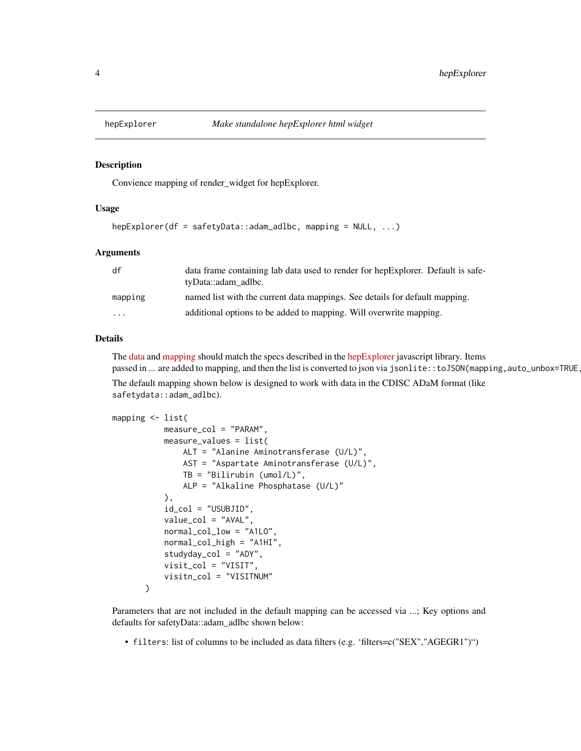<span id="page-3-0"></span>

#### Description

Convience mapping of render\_widget for hepExplorer.

## Usage

```
hepExplorer(df = safetyData::adam_adlbc, mapping = NULL, ...)
```
#### Arguments

| df       | data frame containing lab data used to render for hep Explorer. Default is safe-<br>tyData::adam_adlbc. |
|----------|---------------------------------------------------------------------------------------------------------|
| mapping  | named list with the current data mappings. See details for default mapping.                             |
| $\cdots$ | additional options to be added to mapping. Will overwrite mapping.                                      |

## Details

The [data](https://github.com/SafetyGraphics/hep-explorer/wiki/Data-Guidelines) and [mapping](https://github.com/SafetyGraphics/hep-explorer/wiki/Configuration) should match the specs described in the [hepExplorer](https://github.com/SafetyGraphics/hep-explorer/wiki/Configuration) javascript library. Items passed in ... are added to mapping, and then the list is converted to json via jsonlite::toJSON(mapping,auto\_unbox=TRUE

The default mapping shown below is designed to work with data in the CDISC ADaM format (like safetydata::adam\_adlbc).

```
mapping <- list(
           measure_col = "PARAM",
           measure_values = list(
               ALT = "Alanine Aminotransferase (U/L)",
               AST = "Aspartate Aminotransferase (U/L)",
               TB = "Bilirubin (umol/L)",
               ALP = "Alkaline Phosphatase (U/L)"
           ),
           id_col = "USUBJID",
           value_col = "AVAL",
           normal_col_low = "A1LO",
           normal_col_high = "A1HI",
           studyday_col = "ADY",
           visit_col = "VISIT",
           visitn_col = "VISITNUM"
       )
```
Parameters that are not included in the default mapping can be accessed via ...; Key options and defaults for safetyData::adam\_adlbc shown below:

• filters: list of columns to be included as data filters (e.g. 'filters=c("SEX","AGEGR1")")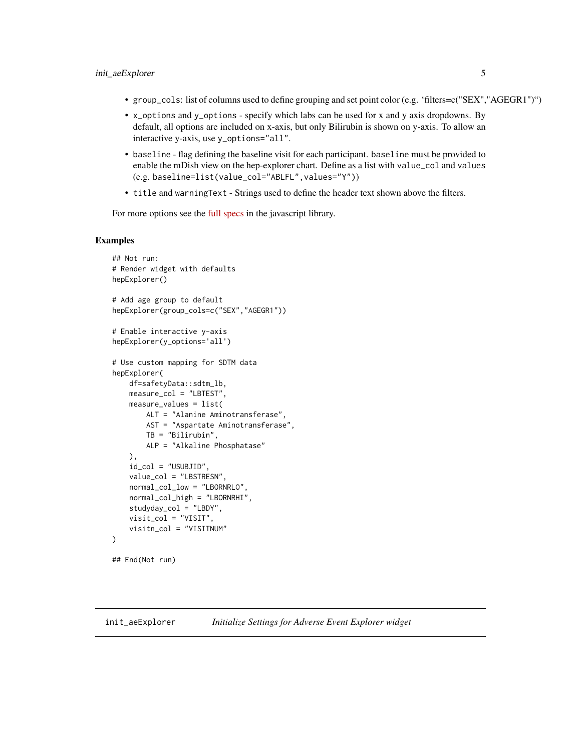- <span id="page-4-0"></span>• group\_cols: list of columns used to define grouping and set point color (e.g. 'filters=c("SEX","AGEGR1")")
- x\_options and y\_options specify which labs can be used for x and y axis dropdowns. By default, all options are included on x-axis, but only Bilirubin is shown on y-axis. To allow an interactive y-axis, use y\_options="all".
- baseline flag defining the baseline visit for each participant. baseline must be provided to enable the mDish view on the hep-explorer chart. Define as a list with value\_col and values (e.g. baseline=list(value\_col="ABLFL",values="Y"))
- title and warningText Strings used to define the header text shown above the filters.

For more options see the [full specs](https://github.com/SafetyGraphics/hep-explorer/wiki/Configuration) in the javascript library.

#### Examples

```
## Not run:
# Render widget with defaults
hepExplorer()
# Add age group to default
hepExplorer(group_cols=c("SEX","AGEGR1"))
# Enable interactive y-axis
hepExplorer(y_options='all')
# Use custom mapping for SDTM data
hepExplorer(
   df=safetyData::sdtm_lb,
   measure_col = "LBTEST",
   measure_values = list(
       ALT = "Alanine Aminotransferase",
       AST = "Aspartate Aminotransferase",
       TB = "Bilirubin",
       ALP = "Alkaline Phosphatase"
   ),
    id_col = "USUBJID",
   value_col = "LBSTRESN",
   normal_col_low = "LBORNRLO",
   normal_col_high = "LBORNRHI",
   studyday_col = "LBDY",
   visit_col = "VISIT",
    visitn_col = "VISITNUM"
)
```

```
## End(Not run)
```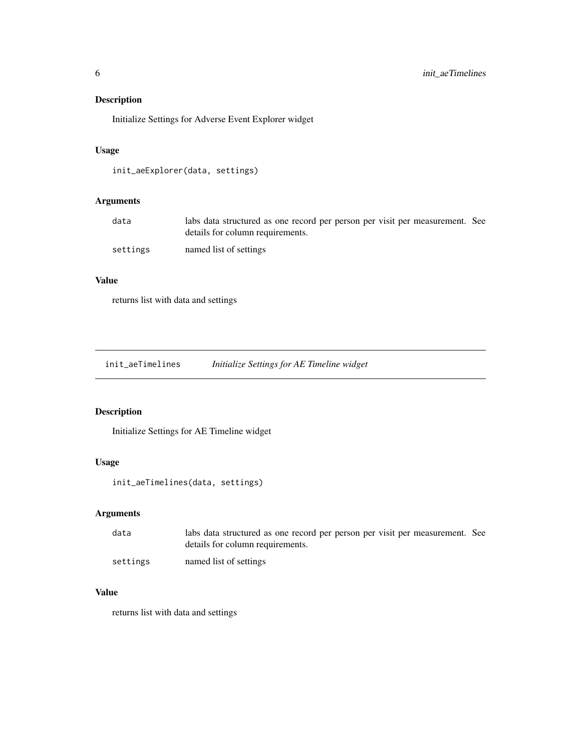## <span id="page-5-0"></span>Description

Initialize Settings for Adverse Event Explorer widget

## Usage

```
init_aeExplorer(data, settings)
```
## Arguments

| data     | labs data structured as one record per person per visit per measurement. See |  |
|----------|------------------------------------------------------------------------------|--|
|          | details for column requirements.                                             |  |
| settings | named list of settings                                                       |  |

#### Value

returns list with data and settings

init\_aeTimelines *Initialize Settings for AE Timeline widget*

## Description

Initialize Settings for AE Timeline widget

## Usage

```
init_aeTimelines(data, settings)
```
## Arguments

| data     | labs data structured as one record per person per visit per measurement. See<br>details for column requirements. |  |
|----------|------------------------------------------------------------------------------------------------------------------|--|
| settings | named list of settings                                                                                           |  |

#### Value

returns list with data and settings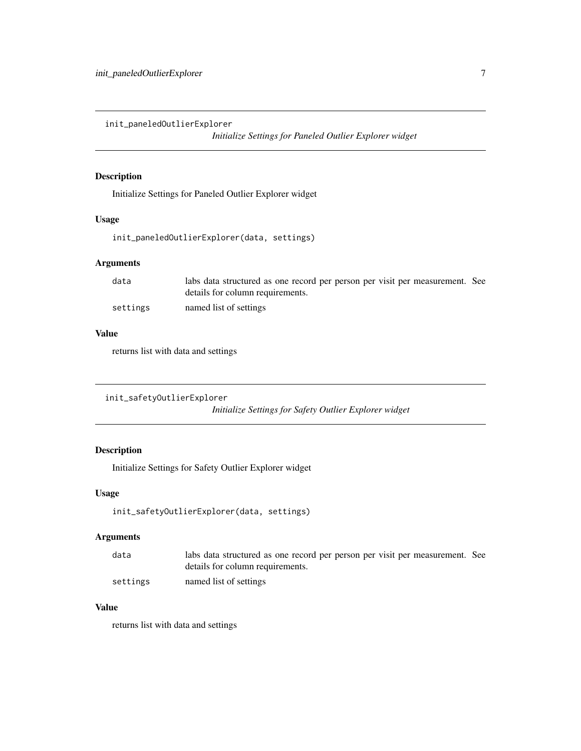<span id="page-6-0"></span>init\_paneledOutlierExplorer

*Initialize Settings for Paneled Outlier Explorer widget*

## Description

Initialize Settings for Paneled Outlier Explorer widget

## Usage

init\_paneledOutlierExplorer(data, settings)

## Arguments

| data     | labs data structured as one record per person per visit per measurement. See |  |
|----------|------------------------------------------------------------------------------|--|
|          | details for column requirements.                                             |  |
| settings | named list of settings                                                       |  |

#### Value

returns list with data and settings

```
init_safetyOutlierExplorer
```
*Initialize Settings for Safety Outlier Explorer widget*

## Description

Initialize Settings for Safety Outlier Explorer widget

#### Usage

```
init_safetyOutlierExplorer(data, settings)
```
## Arguments

| data     | labs data structured as one record per person per visit per measurement. See |  |
|----------|------------------------------------------------------------------------------|--|
|          | details for column requirements.                                             |  |
| settings | named list of settings                                                       |  |

## Value

returns list with data and settings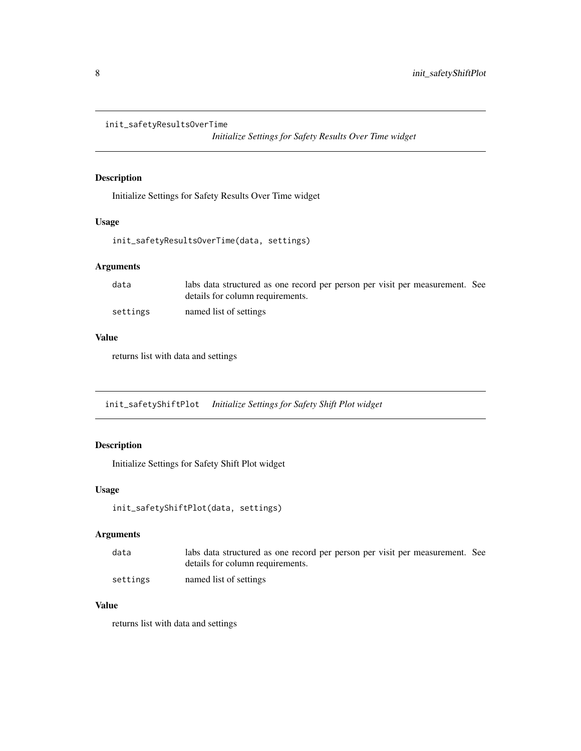```
init_safetyResultsOverTime
```
*Initialize Settings for Safety Results Over Time widget*

## Description

Initialize Settings for Safety Results Over Time widget

#### Usage

```
init_safetyResultsOverTime(data, settings)
```
## Arguments

| data     | labs data structured as one record per person per visit per measurement. See<br>details for column requirements. |  |
|----------|------------------------------------------------------------------------------------------------------------------|--|
| settings | named list of settings                                                                                           |  |

#### Value

returns list with data and settings

init\_safetyShiftPlot *Initialize Settings for Safety Shift Plot widget*

## Description

Initialize Settings for Safety Shift Plot widget

## Usage

```
init_safetyShiftPlot(data, settings)
```
## Arguments

| data     | labs data structured as one record per person per visit per measurement. See |  |
|----------|------------------------------------------------------------------------------|--|
|          | details for column requirements.                                             |  |
| settings | named list of settings                                                       |  |

## Value

returns list with data and settings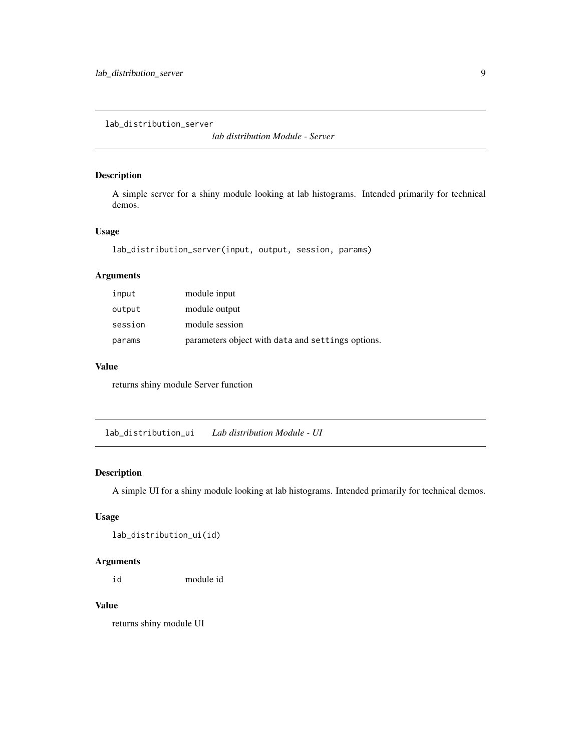<span id="page-8-0"></span>lab\_distribution\_server

*lab distribution Module - Server*

## Description

A simple server for a shiny module looking at lab histograms. Intended primarily for technical demos.

## Usage

```
lab_distribution_server(input, output, session, params)
```
## Arguments

| input   | module input                                      |
|---------|---------------------------------------------------|
| output  | module output                                     |
| session | module session                                    |
| params  | parameters object with data and settings options. |

## Value

returns shiny module Server function

lab\_distribution\_ui *Lab distribution Module - UI*

#### Description

A simple UI for a shiny module looking at lab histograms. Intended primarily for technical demos.

## Usage

lab\_distribution\_ui(id)

## Arguments

id module id

## Value

returns shiny module UI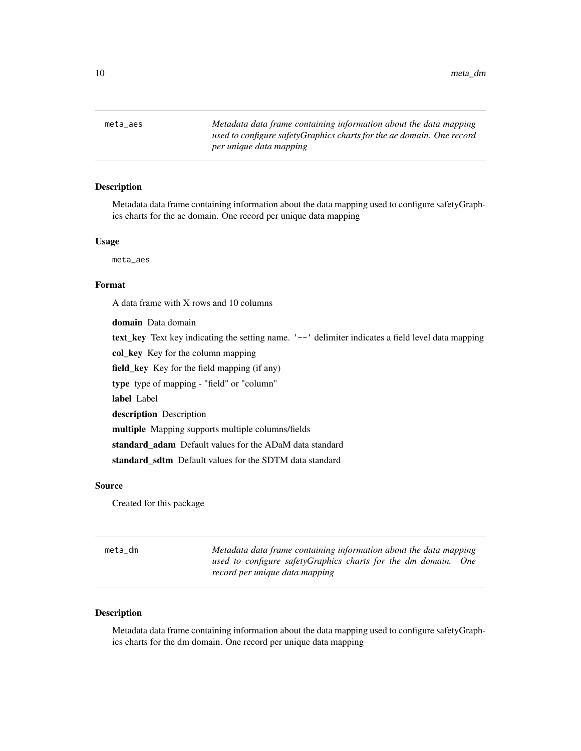<span id="page-9-0"></span>10 meta\_dm

meta\_aes *Metadata data frame containing information about the data mapping used to configure safetyGraphics charts for the ae domain. One record per unique data mapping*

#### Description

Metadata data frame containing information about the data mapping used to configure safetyGraphics charts for the ae domain. One record per unique data mapping

#### Usage

meta\_aes

#### Format

A data frame with X rows and 10 columns

domain Data domain text\_key Text key indicating the setting name. '--' delimiter indicates a field level data mapping col\_key Key for the column mapping field\_key Key for the field mapping (if any) type type of mapping - "field" or "column" label Label description Description multiple Mapping supports multiple columns/fields standard\_adam Default values for the ADaM data standard standard sdtm Default values for the SDTM data standard

## Source

Created for this package

| meta_dm | Metadata data frame containing information about the data mapping                                |
|---------|--------------------------------------------------------------------------------------------------|
|         | used to configure safetyGraphics charts for the dm domain. One<br>record per unique data mapping |

## Description

Metadata data frame containing information about the data mapping used to configure safetyGraphics charts for the dm domain. One record per unique data mapping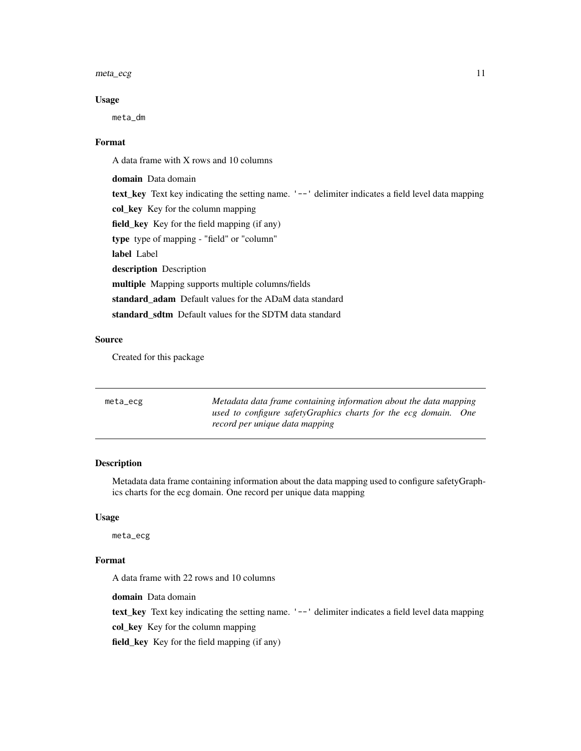#### <span id="page-10-0"></span> $meta\_ecg$  11

#### Usage

meta\_dm

#### Format

A data frame with X rows and 10 columns

domain Data domain text\_key Text key indicating the setting name. '--' delimiter indicates a field level data mapping col\_key Key for the column mapping field\_key Key for the field mapping (if any) type type of mapping - "field" or "column" label Label description Description multiple Mapping supports multiple columns/fields standard\_adam Default values for the ADaM data standard standard\_sdtm Default values for the SDTM data standard

#### Source

Created for this package

| meta_ecg | Metadata data frame containing information about the data mapping                                 |
|----------|---------------------------------------------------------------------------------------------------|
|          | used to configure safetyGraphics charts for the ecg domain. One<br>record per unique data mapping |

## Description

Metadata data frame containing information about the data mapping used to configure safetyGraphics charts for the ecg domain. One record per unique data mapping

#### Usage

meta\_ecg

#### Format

A data frame with 22 rows and 10 columns

domain Data domain

text\_key Text key indicating the setting name. '--' delimiter indicates a field level data mapping

col\_key Key for the column mapping

field\_key Key for the field mapping (if any)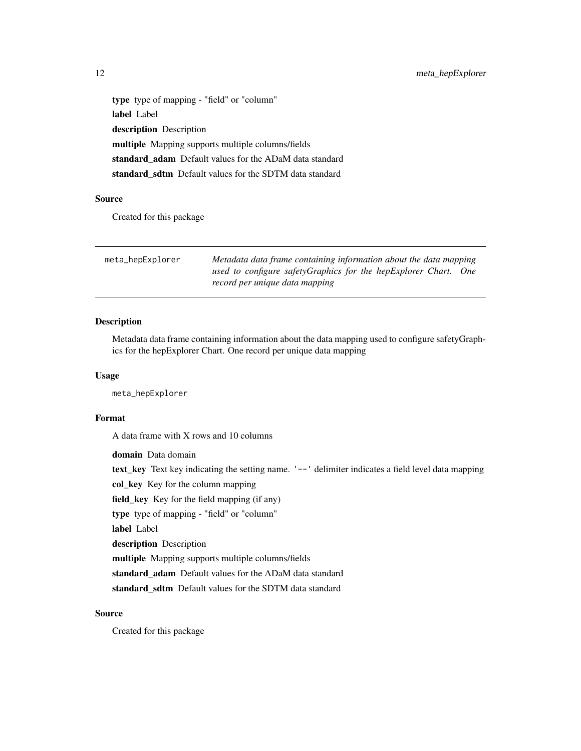type type of mapping - "field" or "column" label Label description Description multiple Mapping supports multiple columns/fields standard\_adam Default values for the ADaM data standard standard\_sdtm Default values for the SDTM data standard

## Source

Created for this package

| meta_hepExplorer | Metadata data frame containing information about the data mapping |
|------------------|-------------------------------------------------------------------|
|                  | used to configure safetyGraphics for the hepExplorer Chart. One   |
|                  | record per unique data mapping                                    |

## Description

Metadata data frame containing information about the data mapping used to configure safetyGraphics for the hepExplorer Chart. One record per unique data mapping

#### Usage

meta\_hepExplorer

### Format

A data frame with X rows and 10 columns

domain Data domain text\_key Text key indicating the setting name. '--' delimiter indicates a field level data mapping col\_key Key for the column mapping field\_key Key for the field mapping (if any) type type of mapping - "field" or "column" label Label description Description multiple Mapping supports multiple columns/fields standard\_adam Default values for the ADaM data standard standard\_sdtm Default values for the SDTM data standard

#### Source

Created for this package

<span id="page-11-0"></span>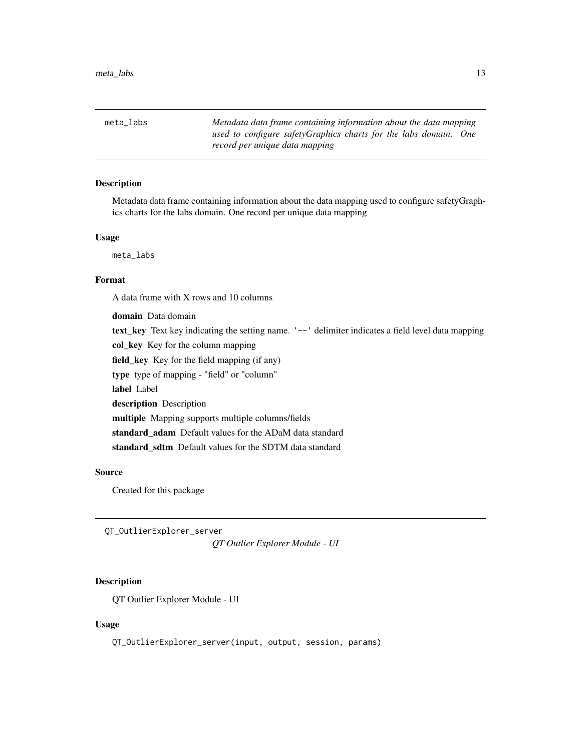<span id="page-12-0"></span>meta\_labs *Metadata data frame containing information about the data mapping used to configure safetyGraphics charts for the labs domain. One record per unique data mapping*

## Description

Metadata data frame containing information about the data mapping used to configure safetyGraphics charts for the labs domain. One record per unique data mapping

#### Usage

meta\_labs

#### Format

A data frame with X rows and 10 columns

domain Data domain text\_key Text key indicating the setting name. '--' delimiter indicates a field level data mapping col key Key for the column mapping field\_key Key for the field mapping (if any) type type of mapping - "field" or "column" label Label description Description multiple Mapping supports multiple columns/fields standard\_adam Default values for the ADaM data standard standard\_sdtm Default values for the SDTM data standard

#### Source

Created for this package

QT\_OutlierExplorer\_server

*QT Outlier Explorer Module - UI*

## Description

QT Outlier Explorer Module - UI

#### Usage

QT\_OutlierExplorer\_server(input, output, session, params)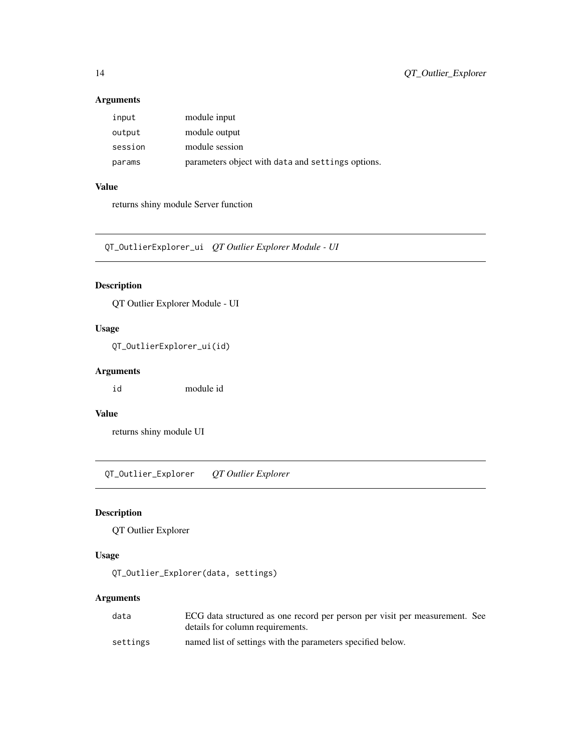## Arguments

| input   | module input                                      |
|---------|---------------------------------------------------|
| output  | module output                                     |
| session | module session                                    |
| params  | parameters object with data and settings options. |

## Value

returns shiny module Server function

QT\_OutlierExplorer\_ui *QT Outlier Explorer Module - UI*

## Description

QT Outlier Explorer Module - UI

## Usage

QT\_OutlierExplorer\_ui(id)

## Arguments

id module id

#### Value

returns shiny module UI

QT\_Outlier\_Explorer *QT Outlier Explorer*

## Description

QT Outlier Explorer

## Usage

QT\_Outlier\_Explorer(data, settings)

## Arguments

| data     | ECG data structured as one record per person per visit per measurement. See |
|----------|-----------------------------------------------------------------------------|
|          | details for column requirements.                                            |
| settings | named list of settings with the parameters specified below.                 |

<span id="page-13-0"></span>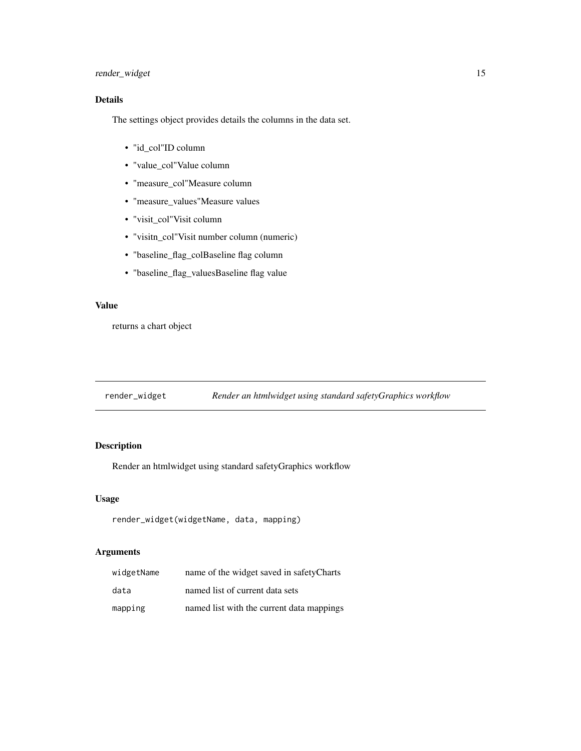## <span id="page-14-0"></span>render\_widget 15

## Details

The settings object provides details the columns in the data set.

- "id\_col"ID column
- "value\_col"Value column
- "measure\_col"Measure column
- "measure\_values"Measure values
- "visit\_col"Visit column
- "visitn\_col"Visit number column (numeric)
- "baseline\_flag\_colBaseline flag column
- "baseline\_flag\_valuesBaseline flag value

#### Value

returns a chart object

render\_widget *Render an htmlwidget using standard safetyGraphics workflow*

## Description

Render an htmlwidget using standard safetyGraphics workflow

#### Usage

```
render_widget(widgetName, data, mapping)
```
## Arguments

| widgetName | name of the widget saved in safetyCharts  |
|------------|-------------------------------------------|
| data       | named list of current data sets           |
| mapping    | named list with the current data mappings |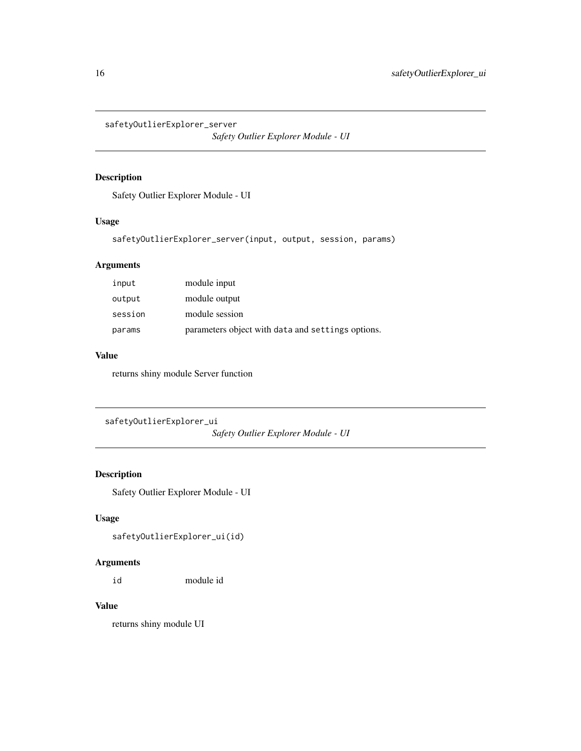<span id="page-15-0"></span>safetyOutlierExplorer\_server

*Safety Outlier Explorer Module - UI*

## Description

Safety Outlier Explorer Module - UI

## Usage

```
safetyOutlierExplorer_server(input, output, session, params)
```
## Arguments

| input   | module input                                      |
|---------|---------------------------------------------------|
| output  | module output                                     |
| session | module session                                    |
| params  | parameters object with data and settings options. |

## Value

returns shiny module Server function

```
safetyOutlierExplorer_ui
```
*Safety Outlier Explorer Module - UI*

## Description

Safety Outlier Explorer Module - UI

## Usage

safetyOutlierExplorer\_ui(id)

## Arguments

id module id

## Value

returns shiny module UI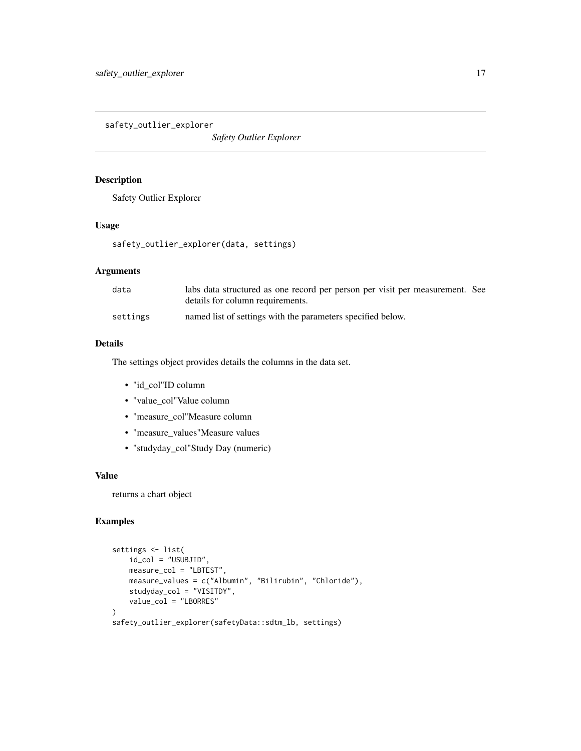<span id="page-16-0"></span>safety\_outlier\_explorer

*Safety Outlier Explorer*

## Description

Safety Outlier Explorer

## Usage

safety\_outlier\_explorer(data, settings)

#### Arguments

| data     | labs data structured as one record per person per visit per measurement. See<br>details for column requirements. |
|----------|------------------------------------------------------------------------------------------------------------------|
| settings | named list of settings with the parameters specified below.                                                      |

## Details

The settings object provides details the columns in the data set.

- "id\_col"ID column
- "value\_col"Value column
- "measure\_col"Measure column
- "measure\_values"Measure values
- "studyday\_col"Study Day (numeric)

#### Value

returns a chart object

## Examples

```
settings <- list(
   id_col = "USUBJID",
   measure_col = "LBTEST",
   measure_values = c("Albumin", "Bilirubin", "Chloride"),
   studyday_col = "VISITDY",
   value_col = "LBORRES"
\lambdasafety_outlier_explorer(safetyData::sdtm_lb, settings)
```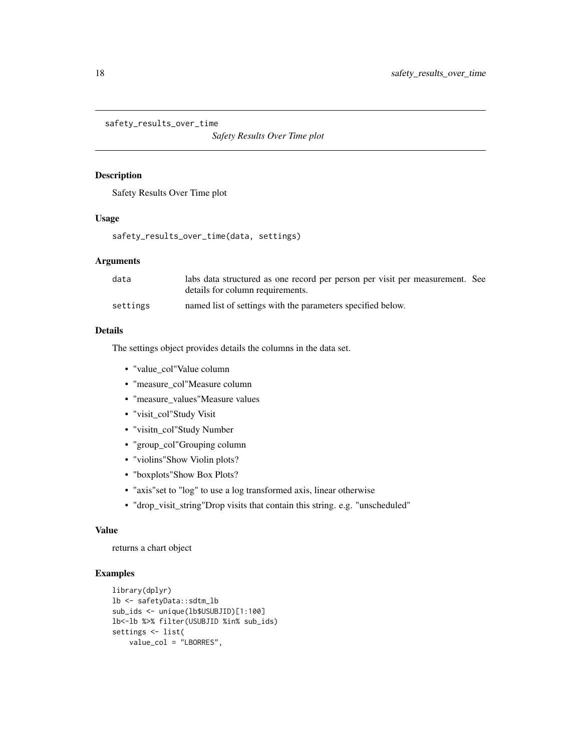<span id="page-17-0"></span>safety\_results\_over\_time

*Safety Results Over Time plot*

#### Description

Safety Results Over Time plot

## Usage

safety\_results\_over\_time(data, settings)

## Arguments

| data     | labs data structured as one record per person per visit per measurement. See<br>details for column requirements. |
|----------|------------------------------------------------------------------------------------------------------------------|
| settings | named list of settings with the parameters specified below.                                                      |

## Details

The settings object provides details the columns in the data set.

- "value\_col"Value column
- "measure\_col"Measure column
- "measure\_values"Measure values
- "visit\_col"Study Visit
- "visitn\_col"Study Number
- "group\_col"Grouping column
- "violins"Show Violin plots?
- "boxplots"Show Box Plots?
- "axis"set to "log" to use a log transformed axis, linear otherwise
- "drop\_visit\_string"Drop visits that contain this string. e.g. "unscheduled"

#### Value

returns a chart object

#### Examples

```
library(dplyr)
lb <- safetyData::sdtm_lb
sub_ids <- unique(lb$USUBJID)[1:100]
lb<-lb %>% filter(USUBJID %in% sub_ids)
settings <- list(
   value_col = "LBORRES",
```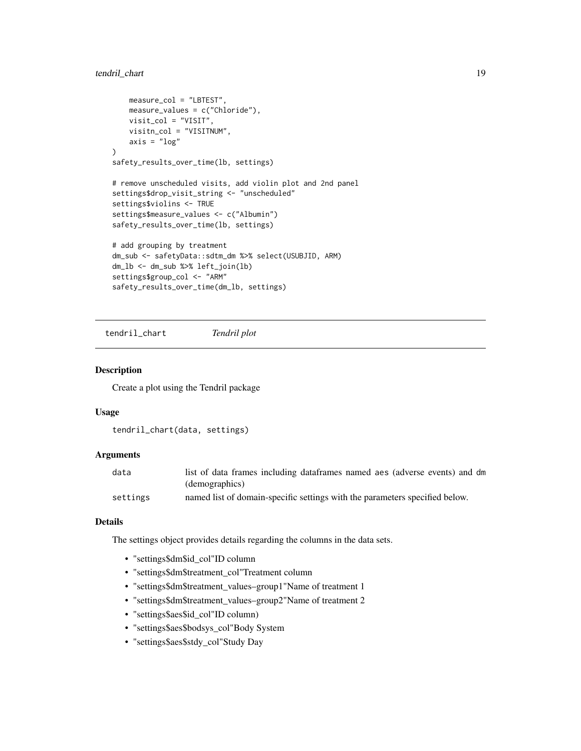## <span id="page-18-0"></span>tendril\_chart 19

```
measure_col = "LBTEST",
   measure_values = c("Chloride"),
   visit_col = "VISIT",
   visitn_col = "VISITNUM",
   axis = "log"\mathcal{L}safety_results_over_time(lb, settings)
# remove unscheduled visits, add violin plot and 2nd panel
settings$drop_visit_string <- "unscheduled"
settings$violins <- TRUE
settings$measure_values <- c("Albumin")
safety_results_over_time(lb, settings)
# add grouping by treatment
dm_sub <- safetyData::sdtm_dm %>% select(USUBJID, ARM)
dm_lb <- dm_sub %>% left_join(lb)
settings$group_col <- "ARM"
safety_results_over_time(dm_lb, settings)
```
tendril\_chart *Tendril plot*

#### Description

Create a plot using the Tendril package

#### Usage

```
tendril_chart(data, settings)
```
## Arguments

| data     | list of data frames including dataframes named aes (adverse events) and dm  |
|----------|-----------------------------------------------------------------------------|
|          | (demographics)                                                              |
| settings | named list of domain-specific settings with the parameters specified below. |

## Details

The settings object provides details regarding the columns in the data sets.

- "settings\$dm\$id\_col"ID column
- "settings\$dm\$treatment\_col"Treatment column
- "settings\$dm\$treatment\_values–group1"Name of treatment 1
- "settings\$dm\$treatment\_values–group2"Name of treatment 2
- "settings\$aes\$id\_col"ID column)
- "settings\$aes\$bodsys\_col"Body System
- "settings\$aes\$stdy\_col"Study Day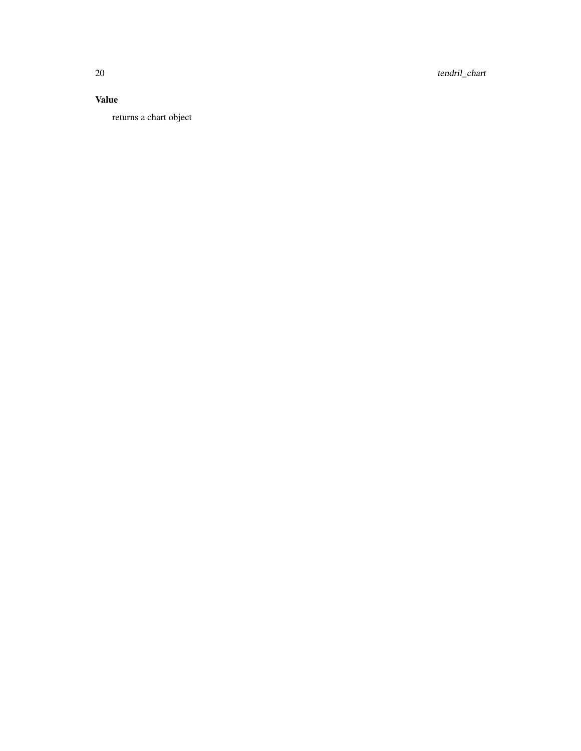20 tendril\_chart

## Value

returns a chart object